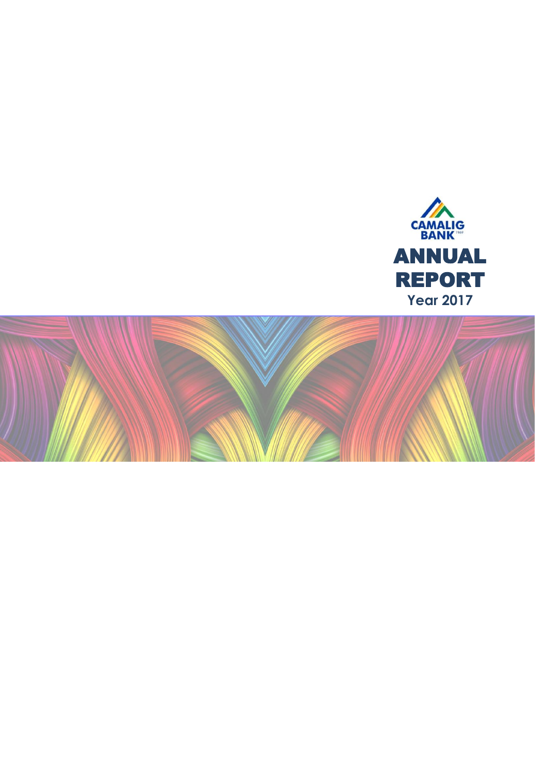

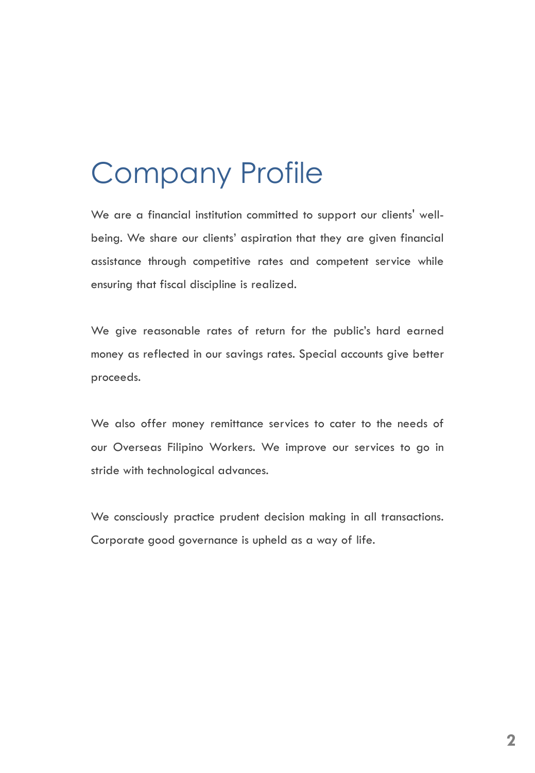## Company Profile

We are a financial institution committed to support our clients' wellbeing. We share our clients' aspiration that they are given financial assistance through competitive rates and competent service while ensuring that fiscal discipline is realized.

We give reasonable rates of return for the public's hard earned money as reflected in our savings rates. Special accounts give better proceeds.

We also offer money remittance services to cater to the needs of our Overseas Filipino Workers. We improve our services to go in stride with technological advances.

We consciously practice prudent decision making in all transactions. Corporate good governance is upheld as a way of life.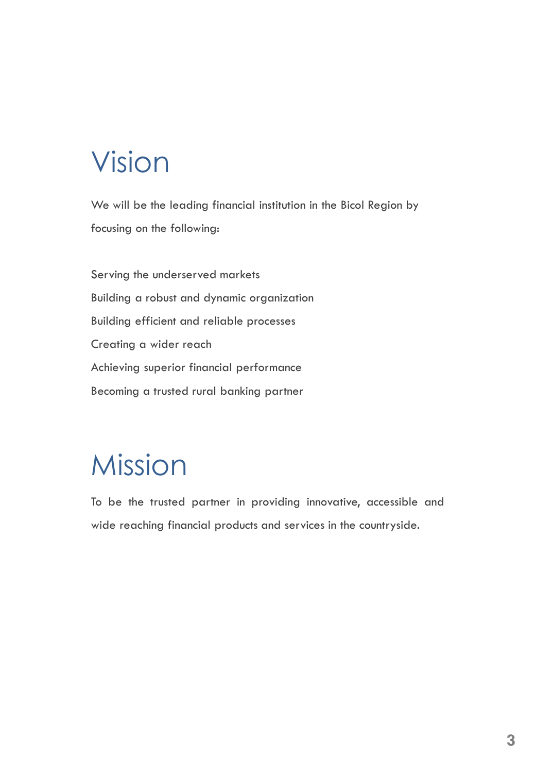## Vision

We will be the leading financial institution in the Bicol Region by focusing on the following:

Serving the underserved markets Building a robust and dynamic organization Building efficient and reliable processes Creating a wider reach Achieving superior financial performance Becoming a trusted rural banking partner

## Mission

To be the trusted partner in providing innovative, accessible and wide reaching financial products and services in the countryside.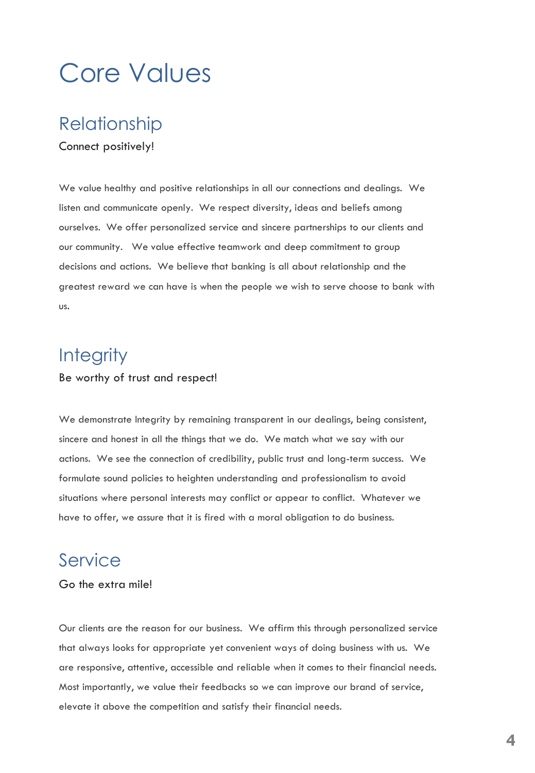## Core Values

### Relationship

#### Connect positively!

We value healthy and positive relationships in all our connections and dealings. We listen and communicate openly. We respect diversity, ideas and beliefs among ourselves. We offer personalized service and sincere partnerships to our clients and our community. We value effective teamwork and deep commitment to group decisions and actions. We believe that banking is all about relationship and the greatest reward we can have is when the people we wish to serve choose to bank with us.

### **Integrity**

#### Be worthy of trust and respect!

We demonstrate Integrity by remaining transparent in our dealings, being consistent, sincere and honest in all the things that we do. We match what we say with our actions. We see the connection of credibility, public trust and long-term success. We formulate sound policies to heighten understanding and professionalism to avoid situations where personal interests may conflict or appear to conflict. Whatever we have to offer, we assure that it is fired with a moral obligation to do business.

### Service

#### Go the extra mile!

Our clients are the reason for our business. We affirm this through personalized service that always looks for appropriate yet convenient ways of doing business with us. We are responsive, attentive, accessible and reliable when it comes to their financial needs. Most importantly, we value their feedbacks so we can improve our brand of service, elevate it above the competition and satisfy their financial needs.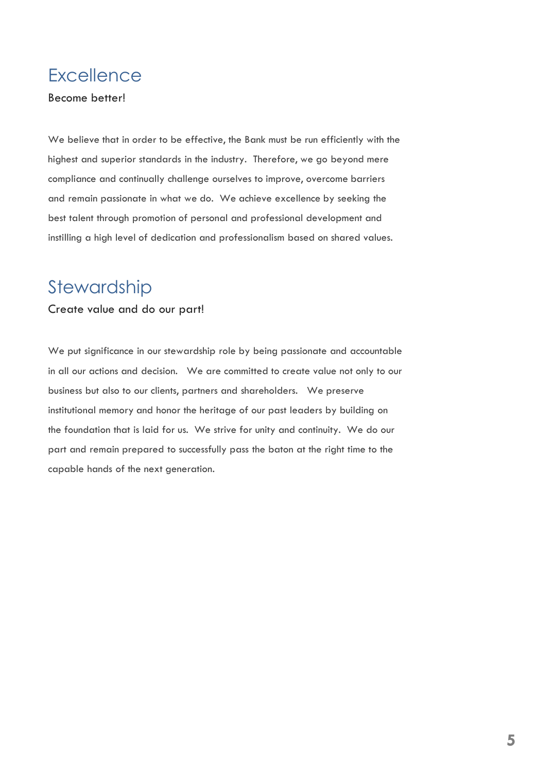### **Excellence**

#### Become better!

We believe that in order to be effective, the Bank must be run efficiently with the highest and superior standards in the industry. Therefore, we go beyond mere compliance and continually challenge ourselves to improve, overcome barriers and remain passionate in what we do. We achieve excellence by seeking the best talent through promotion of personal and professional development and instilling a high level of dedication and professionalism based on shared values.

### Stewardship

#### Create value and do our part!

We put significance in our stewardship role by being passionate and accountable in all our actions and decision. We are committed to create value not only to our business but also to our clients, partners and shareholders. We preserve institutional memory and honor the heritage of our past leaders by building on the foundation that is laid for us. We strive for unity and continuity. We do our part and remain prepared to successfully pass the baton at the right time to the capable hands of the next generation.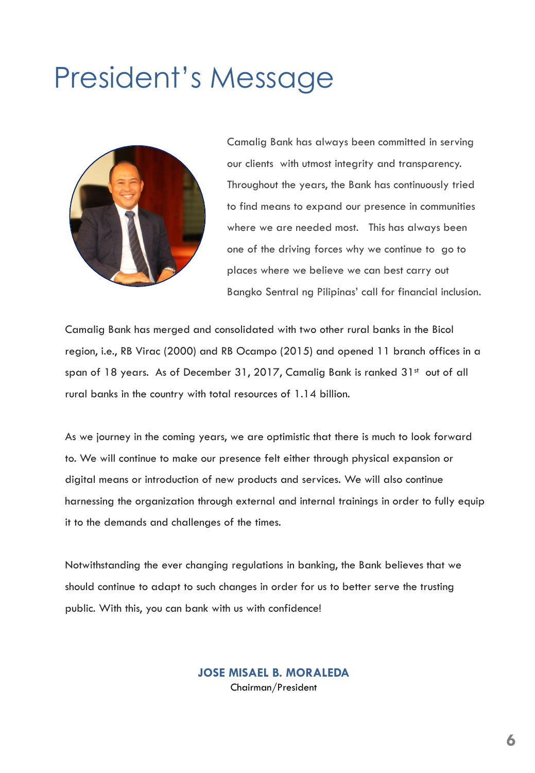## President's Message



Camalig Bank has always been committed in serving our clients with utmost integrity and transparency. Throughout the years, the Bank has continuously tried to find means to expand our presence in communities where we are needed most. This has always been one of the driving forces why we continue to go to places where we believe we can best carry out Bangko Sentral ng Pilipinas' call for financial inclusion.

Camalig Bank has merged and consolidated with two other rural banks in the Bicol region, i.e., RB Virac (2000) and RB Ocampo (2015) and opened 11 branch offices in a span of 18 years. As of December 31, 2017, Camalig Bank is ranked 31st out of all rural banks in the country with total resources of 1.14 billion.

As we journey in the coming years, we are optimistic that there is much to look forward to. We will continue to make our presence felt either through physical expansion or digital means or introduction of new products and services. We will also continue harnessing the organization through external and internal trainings in order to fully equip it to the demands and challenges of the times.

Notwithstanding the ever changing regulations in banking, the Bank believes that we should continue to adapt to such changes in order for us to better serve the trusting public. With this, you can bank with us with confidence!

> **JOSE MISAEL B. MORALEDA** Chairman/President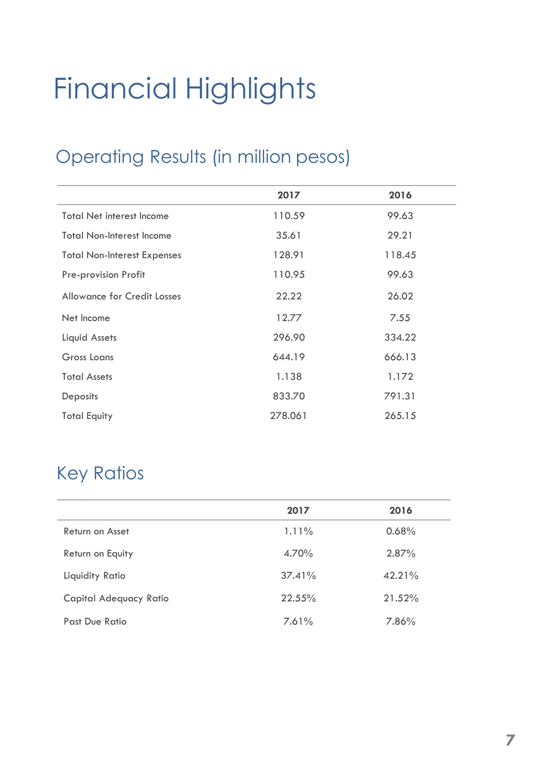# Financial Highlights

## Operating Results (in million pesos)

|                                    | 2017    | 2016   |
|------------------------------------|---------|--------|
| <b>Total Net interest Income</b>   | 110.59  | 99.63  |
| <b>Total Non-Interest Income</b>   | 35.61   | 29.21  |
| <b>Total Non-Interest Expenses</b> | 128.91  | 118.45 |
| Pre-provision Profit               | 110.95  | 99.63  |
| <b>Allowance for Credit Losses</b> | 22.22   | 26.02  |
| Net Income                         | 12.77   | 7.55   |
| Liquid Assets                      | 296.90  | 334.22 |
| Gross Loans                        | 644.19  | 666.13 |
| <b>Total Assets</b>                | 1.138   | 1.172  |
| Deposits                           | 833.70  | 791.31 |
| <b>Total Equity</b>                | 278.061 | 265.15 |

## Key Ratios

|                        | 2017      | 2016   |
|------------------------|-----------|--------|
| Return on Asset        | 1.11%     | 0.68%  |
| Return on Equity       | 4.70%     | 2.87%  |
| Liquidity Ratio        | $37.41\%$ | 42.21% |
| Capital Adequacy Ratio | 22.55%    | 21.52% |
| Past Due Ratio         | 7.61%     | 7.86%  |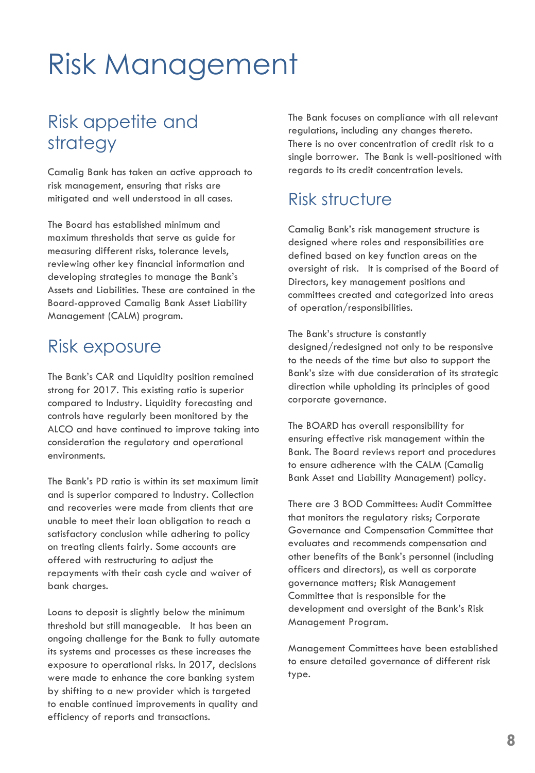## Risk Management

## Risk appetite and strategy

Camalig Bank has taken an active approach to risk management, ensuring that risks are mitigated and well understood in all cases.

The Board has established minimum and maximum thresholds that serve as guide for measuring different risks, tolerance levels, reviewing other key financial information and developing strategies to manage the Bank's Assets and Liabilities. These are contained in the Board-approved Camalig Bank Asset Liability Management (CALM) program.

### Risk exposure

The Bank's CAR and Liquidity position remained strong for 2017. This existing ratio is superior compared to Industry. Liquidity forecasting and controls have regularly been monitored by the ALCO and have continued to improve taking into consideration the regulatory and operational environments.

The Bank's PD ratio is within its set maximum limit and is superior compared to Industry. Collection and recoveries were made from clients that are unable to meet their loan obligation to reach a satisfactory conclusion while adhering to policy on treating clients fairly. Some accounts are offered with restructuring to adjust the repayments with their cash cycle and waiver of bank charges.

Loans to deposit is slightly below the minimum threshold but still manageable. It has been an ongoing challenge for the Bank to fully automate its systems and processes as these increases the exposure to operational risks. In 2017, decisions were made to enhance the core banking system by shifting to a new provider which is targeted to enable continued improvements in quality and efficiency of reports and transactions.

The Bank focuses on compliance with all relevant regulations, including any changes thereto. There is no over concentration of credit risk to a single borrower. The Bank is well-positioned with regards to its credit concentration levels.

### Risk structure

Camalig Bank's risk management structure is designed where roles and responsibilities are defined based on key function areas on the oversight of risk. It is comprised of the Board of Directors, key management positions and committees created and categorized into areas of operation/responsibilities.

The Bank's structure is constantly designed/redesigned not only to be responsive to the needs of the time but also to support the Bank's size with due consideration of its strategic direction while upholding its principles of good corporate governance.

The BOARD has overall responsibility for ensuring effective risk management within the Bank. The Board reviews report and procedures to ensure adherence with the CALM (Camalig Bank Asset and Liability Management) policy.

There are 3 BOD Committees: Audit Committee that monitors the regulatory risks; Corporate Governance and Compensation Committee that evaluates and recommends compensation and other benefits of the Bank's personnel (including officers and directors), as well as corporate governance matters; Risk Management Committee that is responsible for the development and oversight of the Bank's Risk Management Program.

Management Committees have been established to ensure detailed governance of different risk type.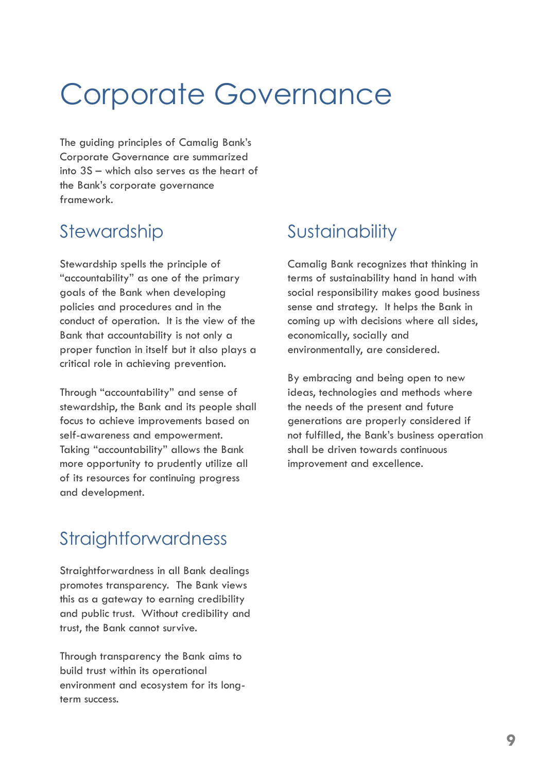## Corporate Governance

The guiding principles of Camalig Bank's Corporate Governance are summarized into 3S – which also serves as the heart of the Bank's corporate governance framework.

## Stewardship

Stewardship spells the principle of "accountability" as one of the primary goals of the Bank when developing policies and procedures and in the conduct of operation. It is the view of the Bank that accountability is not only a proper function in itself but it also plays a critical role in achieving prevention.

Through "accountability" and sense of stewardship, the Bank and its people shall focus to achieve improvements based on self-awareness and empowerment. Taking "accountability" allows the Bank more opportunity to prudently utilize all of its resources for continuing progress and development.

## **Sustainability**

Camalig Bank recognizes that thinking in terms of sustainability hand in hand with social responsibility makes good business sense and strategy. It helps the Bank in coming up with decisions where all sides, economically, socially and environmentally, are considered.

By embracing and being open to new ideas, technologies and methods where the needs of the present and future generations are properly considered if not fulfilled, the Bank's business operation shall be driven towards continuous improvement and excellence.

## **Straightforwardness**

Straightforwardness in all Bank dealings promotes transparency. The Bank views this as a gateway to earning credibility and public trust. Without credibility and trust, the Bank cannot survive.

Through transparency the Bank aims to build trust within its operational environment and ecosystem for its longterm success.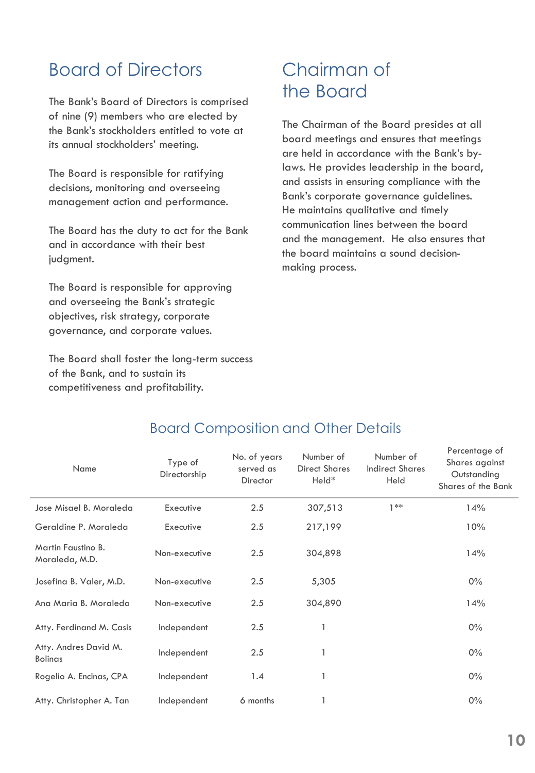## Board of Directors

The Bank's Board of Directors is comprised of nine (9) members who are elected by the Bank's stockholders entitled to vote at its annual stockholders' meeting.

The Board is responsible for ratifying decisions, monitoring and overseeing management action and performance.

The Board has the duty to act for the Bank and in accordance with their best judgment.

The Board is responsible for approving and overseeing the Bank's strategic objectives, risk strategy, corporate governance, and corporate values.

The Board shall foster the long-term success of the Bank, and to sustain its competitiveness and profitability.

### Chairman of the Board

The Chairman of the Board presides at all board meetings and ensures that meetings are held in accordance with the Bank's bylaws. He provides leadership in the board, and assists in ensuring compliance with the Bank's corporate governance guidelines. He maintains qualitative and timely communication lines between the board and the management. He also ensures that the board maintains a sound decisionmaking process.

| Name                                    | Type of<br>Directorship | No. of years<br>served as<br>Director | Number of<br><b>Direct Shares</b><br>Held* | Number of<br><b>Indirect Shares</b><br>Held | Percentage of<br>Shares against<br>Outstanding<br>Shares of the Bank |
|-----------------------------------------|-------------------------|---------------------------------------|--------------------------------------------|---------------------------------------------|----------------------------------------------------------------------|
| Jose Misael B. Moraleda                 | Executive               | 2.5                                   | 307,513                                    | $1***$                                      | 14%                                                                  |
| Geraldine P. Moraleda                   | Executive               | 2.5                                   | 217,199                                    |                                             | 10%                                                                  |
| Martin Faustino B.<br>Moraleda, M.D.    | Non-executive           | 2.5                                   | 304,898                                    |                                             | 14%                                                                  |
| Josefina B. Valer, M.D.                 | Non-executive           | 2.5                                   | 5,305                                      |                                             | $0\%$                                                                |
| Ana Maria B. Moraleda                   | Non-executive           | 2.5                                   | 304,890                                    |                                             | 14%                                                                  |
| Atty. Ferdinand M. Casis                | Independent             | 2.5                                   |                                            |                                             | $0\%$                                                                |
| Atty. Andres David M.<br><b>Bolinas</b> | Independent             | 2.5                                   |                                            |                                             | $0\%$                                                                |
| Rogelio A. Encinas, CPA                 | Independent             | 1.4                                   |                                            |                                             | $0\%$                                                                |
| Atty. Christopher A. Tan                | Independent             | 6 months                              |                                            |                                             | $0\%$                                                                |

#### Board Composition and Other Details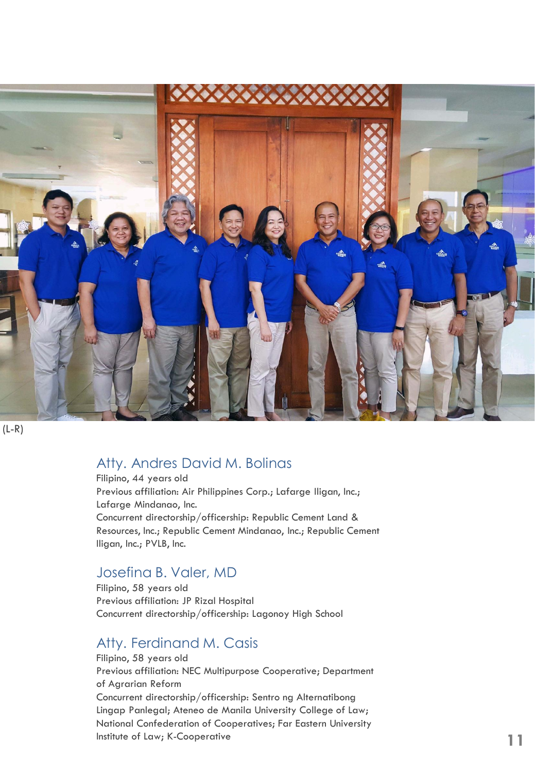

 $(L-R)$ 

#### Atty. Andres David M. Bolinas

Filipino, 44 years old Previous affiliation: Air Philippines Corp.; Lafarge Iligan, Inc.; Lafarge Mindanao, Inc. Concurrent directorship/officership: Republic Cement Land & Resources, Inc.; Republic Cement Mindanao, Inc.; Republic Cement Iligan, Inc.; PVLB, Inc.

#### Josefina B. Valer, MD

Filipino, 58 years old Previous affiliation: JP Rizal Hospital Concurrent directorship/officership: Lagonoy High School

#### Atty. Ferdinand M. Casis

Filipino, 58 years old Previous affiliation: NEC Multipurpose Cooperative; Department of Agrarian Reform Concurrent directorship/officership: Sentro ng Alternatibong Lingap Panlegal; Ateneo de Manila University College of Law; National Confederation of Cooperatives; Far Eastern University Institute of Law; K-Cooperative -Cooperative **11**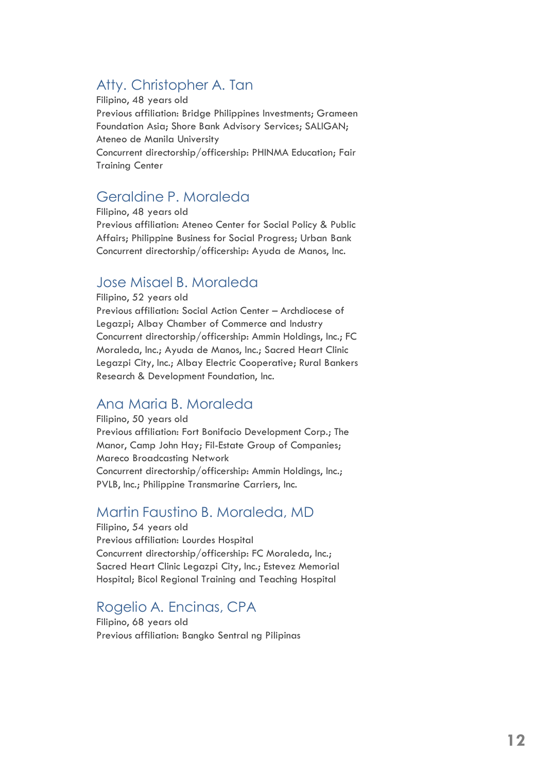#### Atty. Christopher A. Tan

Filipino, 48 years old Previous affiliation: Bridge Philippines Investments; Grameen Foundation Asia; Shore Bank Advisory Services; SALIGAN; Ateneo de Manila University Concurrent directorship/officership: PHINMA Education; Fair Training Center

#### Geraldine P. Moraleda

Filipino, 48 years old Previous affiliation: Ateneo Center for Social Policy & Public Affairs; Philippine Business for Social Progress; Urban Bank Concurrent directorship/officership: Ayuda de Manos, Inc.

#### Jose Misael B. Moraleda

Filipino, 52 years old

Previous affiliation: Social Action Center – Archdiocese of Legazpi; Albay Chamber of Commerce and Industry Concurrent directorship/officership: Ammin Holdings, Inc.; FC Moraleda, Inc.; Ayuda de Manos, Inc.; Sacred Heart Clinic Legazpi City, Inc.; Albay Electric Cooperative; Rural Bankers Research & Development Foundation, Inc.

#### Ana Maria B. Moraleda

Filipino, 50 years old Previous affiliation: Fort Bonifacio Development Corp.; The Manor, Camp John Hay; Fil-Estate Group of Companies; Mareco Broadcasting Network Concurrent directorship/officership: Ammin Holdings, Inc.; PVLB, Inc.; Philippine Transmarine Carriers, Inc.

#### Martin Faustino B. Moraleda, MD

Filipino, 54 years old Previous affiliation: Lourdes Hospital Concurrent directorship/officership: FC Moraleda, Inc.; Sacred Heart Clinic Legazpi City, Inc.; Estevez Memorial Hospital; Bicol Regional Training and Teaching Hospital

### Rogelio A. Encinas, CPA

Filipino, 68 years old Previous affiliation: Bangko Sentral ng Pilipinas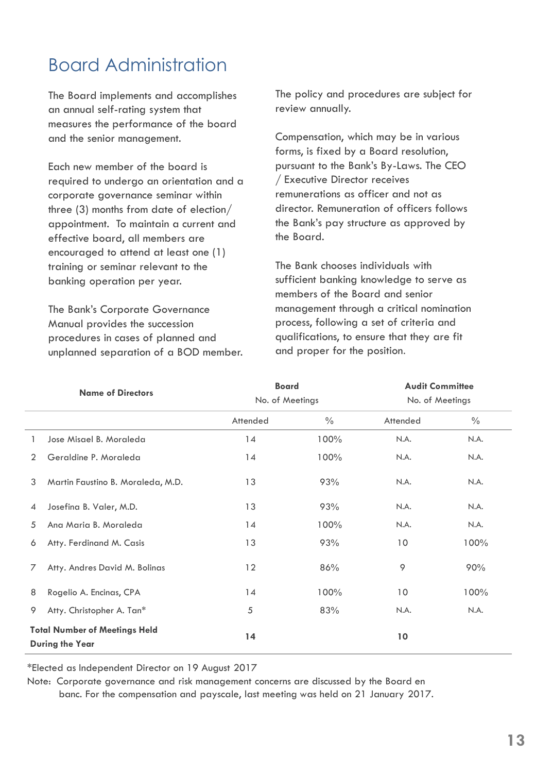## Board Administration

The Board implements and accomplishes an annual self-rating system that measures the performance of the board and the senior management.

Each new member of the board is required to undergo an orientation and a corporate governance seminar within three (3) months from date of election/ appointment. To maintain a current and effective board, all members are encouraged to attend at least one (1) training or seminar relevant to the banking operation per year.

The Bank's Corporate Governance Manual provides the succession procedures in cases of planned and unplanned separation of a BOD member. The policy and procedures are subject for review annually.

Compensation, which may be in various forms, is fixed by a Board resolution, pursuant to the Bank's By-Laws. The CEO / Executive Director receives remunerations as officer and not as director. Remuneration of officers follows the Bank's pay structure as approved by the Board.

The Bank chooses individuals with sufficient banking knowledge to serve as members of the Board and senior management through a critical nomination process, following a set of criteria and qualifications, to ensure that they are fit and proper for the position.

| <b>Name of Directors</b> |                                                                | <b>Board</b><br>No. of Meetings |      | <b>Audit Committee</b><br>No. of Meetings |      |
|--------------------------|----------------------------------------------------------------|---------------------------------|------|-------------------------------------------|------|
|                          |                                                                |                                 |      |                                           |      |
| 1                        | Jose Misael B. Moraleda                                        | 14                              | 100% | N.A.                                      | N.A. |
| $\overline{2}$           | Geraldine P. Moraleda                                          | 14                              | 100% | N.A.                                      | N.A. |
| 3                        | Martin Faustino B. Moraleda, M.D.                              | 13                              | 93%  | N.A.                                      | N.A. |
| $\overline{4}$           | Josefina B. Valer, M.D.                                        | 13                              | 93%  | N.A.                                      | N.A. |
| 5                        | Ana Maria B. Moraleda                                          | 14                              | 100% | N.A.                                      | N.A. |
| 6                        | Atty. Ferdinand M. Casis                                       | 13                              | 93%  | 10                                        | 100% |
| 7                        | Atty. Andres David M. Bolinas                                  | 12                              | 86%  | 9                                         | 90%  |
| 8                        | Rogelio A. Encinas, CPA                                        | 14                              | 100% | 10                                        | 100% |
| 9                        | Atty. Christopher A. Tan*                                      | 5                               | 83%  | N.A.                                      | N.A. |
|                          | <b>Total Number of Meetings Held</b><br><b>During the Year</b> | 14                              |      | 10                                        |      |

\*Elected as Independent Director on 19 August 2017

Note: Corporate governance and risk management concerns are discussed by the Board en banc. For the compensation and payscale, last meeting was held on 21 January 2017.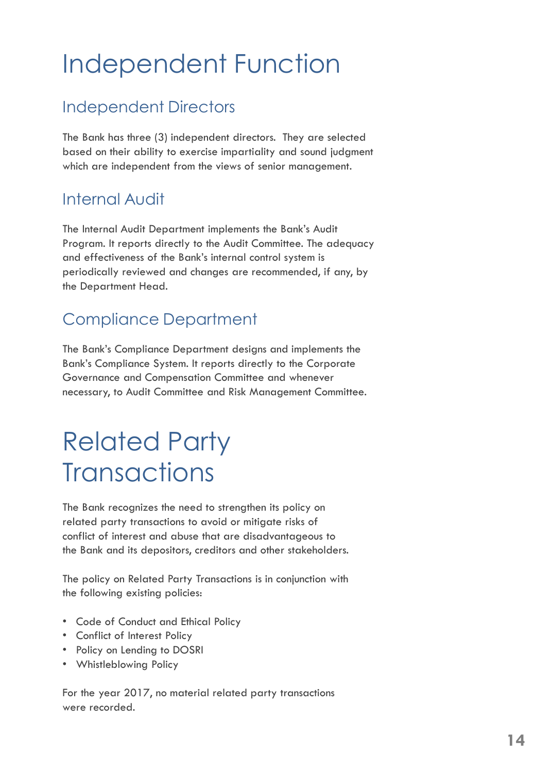## Independent Function

### Independent Directors

The Bank has three (3) independent directors. They are selected based on their ability to exercise impartiality and sound judgment which are independent from the views of senior management.

### Internal Audit

The Internal Audit Department implements the Bank's Audit Program. It reports directly to the Audit Committee. The adequacy and effectiveness of the Bank's internal control system is periodically reviewed and changes are recommended, if any, by the Department Head.

## Compliance Department

The Bank's Compliance Department designs and implements the Bank's Compliance System. It reports directly to the Corporate Governance and Compensation Committee and whenever necessary, to Audit Committee and Risk Management Committee.

## Related Party **Transactions**

The Bank recognizes the need to strengthen its policy on related party transactions to avoid or mitigate risks of conflict of interest and abuse that are disadvantageous to the Bank and its depositors, creditors and other stakeholders.

The policy on Related Party Transactions is in conjunction with the following existing policies:

- Code of Conduct and Ethical Policy
- Conflict of Interest Policy
- Policy on Lending to DOSRI
- Whistleblowing Policy

For the year 2017, no material related party transactions were recorded.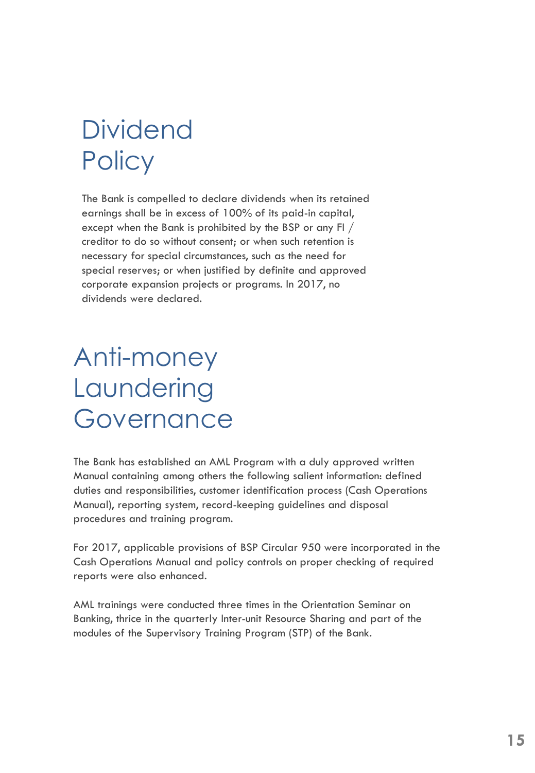## **Dividend Policy**

The Bank is compelled to declare dividends when its retained earnings shall be in excess of 100% of its paid-in capital, except when the Bank is prohibited by the BSP or any FI / creditor to do so without consent; or when such retention is necessary for special circumstances, such as the need for special reserves; or when justified by definite and approved corporate expansion projects or programs. In 2017, no dividends were declared.

## Anti-money Laundering Governance

The Bank has established an AML Program with a duly approved written Manual containing among others the following salient information: defined duties and responsibilities, customer identification process (Cash Operations Manual), reporting system, record-keeping guidelines and disposal procedures and training program.

For 2017, applicable provisions of BSP Circular 950 were incorporated in the Cash Operations Manual and policy controls on proper checking of required reports were also enhanced.

AML trainings were conducted three times in the Orientation Seminar on Banking, thrice in the quarterly Inter-unit Resource Sharing and part of the modules of the Supervisory Training Program (STP) of the Bank.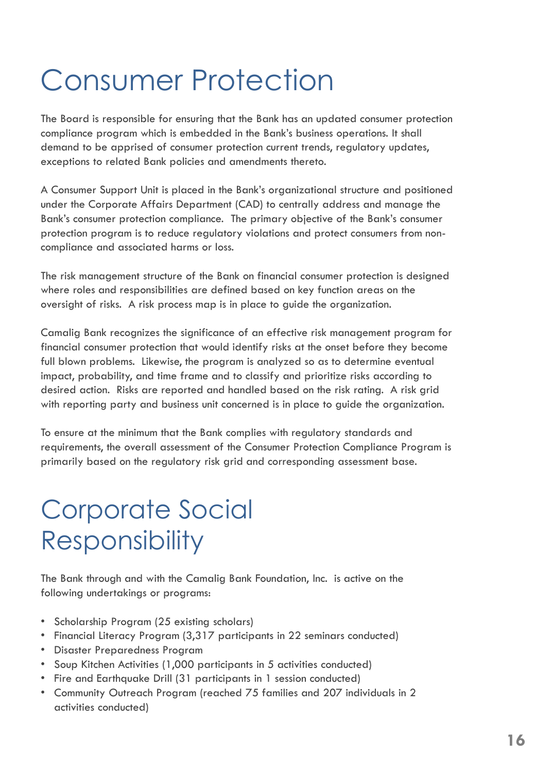## Consumer Protection

The Board is responsible for ensuring that the Bank has an updated consumer protection compliance program which is embedded in the Bank's business operations. It shall demand to be apprised of consumer protection current trends, regulatory updates, exceptions to related Bank policies and amendments thereto.

A Consumer Support Unit is placed in the Bank's organizational structure and positioned under the Corporate Affairs Department (CAD) to centrally address and manage the Bank's consumer protection compliance. The primary objective of the Bank's consumer protection program is to reduce regulatory violations and protect consumers from noncompliance and associated harms or loss.

The risk management structure of the Bank on financial consumer protection is designed where roles and responsibilities are defined based on key function areas on the oversight of risks. A risk process map is in place to guide the organization.

Camalig Bank recognizes the significance of an effective risk management program for financial consumer protection that would identify risks at the onset before they become full blown problems. Likewise, the program is analyzed so as to determine eventual impact, probability, and time frame and to classify and prioritize risks according to desired action. Risks are reported and handled based on the risk rating. A risk grid with reporting party and business unit concerned is in place to guide the organization.

To ensure at the minimum that the Bank complies with regulatory standards and requirements, the overall assessment of the Consumer Protection Compliance Program is primarily based on the regulatory risk grid and corresponding assessment base.

## Corporate Social **Responsibility**

The Bank through and with the Camalig Bank Foundation, Inc. is active on the following undertakings or programs:

- Scholarship Program (25 existing scholars)
- Financial Literacy Program (3,317 participants in 22 seminars conducted)
- Disaster Preparedness Program
- Soup Kitchen Activities (1,000 participants in 5 activities conducted)
- Fire and Earthquake Drill (31 participants in 1 session conducted)
- Community Outreach Program (reached 75 families and 207 individuals in 2 activities conducted)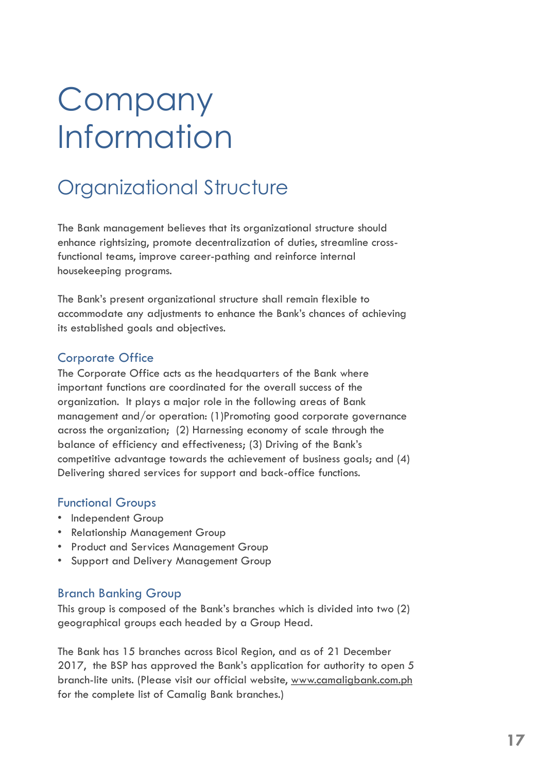# **Company** Information

## Organizational Structure

The Bank management believes that its organizational structure should enhance rightsizing, promote decentralization of duties, streamline crossfunctional teams, improve career-pathing and reinforce internal housekeeping programs.

The Bank's present organizational structure shall remain flexible to accommodate any adjustments to enhance the Bank's chances of achieving its established goals and objectives.

#### Corporate Office

The Corporate Office acts as the headquarters of the Bank where important functions are coordinated for the overall success of the organization. It plays a major role in the following areas of Bank management and/or operation: (1)Promoting good corporate governance across the organization; (2) Harnessing economy of scale through the balance of efficiency and effectiveness; (3) Driving of the Bank's competitive advantage towards the achievement of business goals; and (4) Delivering shared services for support and back-office functions.

#### Functional Groups

- Independent Group
- Relationship Management Group
- Product and Services Management Group
- Support and Delivery Management Group

#### Branch Banking Group

This group is composed of the Bank's branches which is divided into two (2) geographical groups each headed by a Group Head.

The Bank has 15 branches across Bicol Region, and as of 21 December 2017, the BSP has approved the Bank's application for authority to open 5 branch-lite units. (Please visit our official website, www.camaligbank.com.ph for the complete list of Camalig Bank branches.)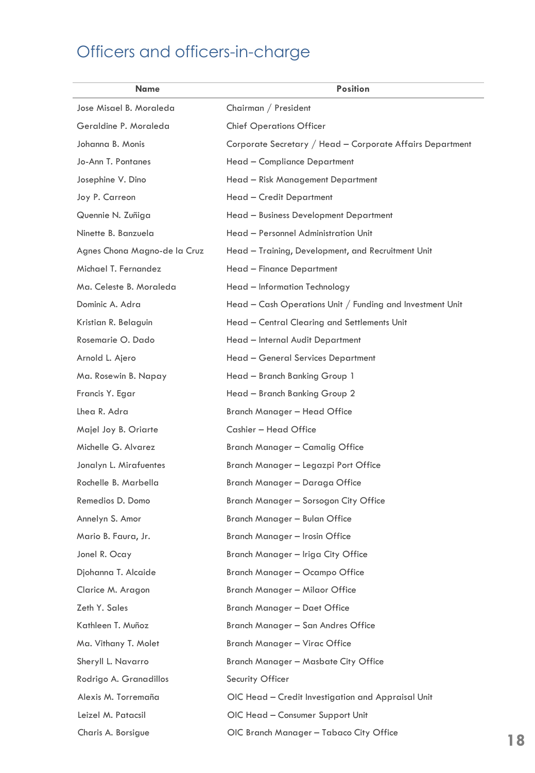## Officers and officers-in-charge

| <b>Name</b>                  | <b>Position</b>                                           |
|------------------------------|-----------------------------------------------------------|
| Jose Misael B. Moraleda      | Chairman / President                                      |
| Geraldine P. Moraleda        | <b>Chief Operations Officer</b>                           |
| Johanna B. Monis             | Corporate Secretary / Head - Corporate Affairs Department |
| Jo-Ann T. Pontanes           | Head - Compliance Department                              |
| Josephine V. Dino            | Head - Risk Management Department                         |
| Joy P. Carreon               | Head - Credit Department                                  |
| Quennie N. Zuñiga            | Head - Business Development Department                    |
| Ninette B. Banzuela          | Head - Personnel Administration Unit                      |
| Agnes Chona Magno-de la Cruz | Head - Training, Development, and Recruitment Unit        |
| Michael T. Fernandez         | Head - Finance Department                                 |
| Ma. Celeste B. Moraleda      | Head - Information Technology                             |
| Dominic A. Adra              | Head - Cash Operations Unit / Funding and Investment Unit |
| Kristian R. Belaguin         | Head - Central Clearing and Settlements Unit              |
| Rosemarie O. Dado            | Head - Internal Audit Department                          |
| Arnold L. Ajero              | Head - General Services Department                        |
| Ma. Rosewin B. Napay         | Head - Branch Banking Group 1                             |
| Francis Y. Egar              | Head - Branch Banking Group 2                             |
| Lhea R. Adra                 | Branch Manager – Head Office                              |
| Majel Joy B. Oriarte         | Cashier - Head Office                                     |
| Michelle G. Alvarez          | Branch Manager – Camalig Office                           |
| Jonalyn L. Mirafuentes       | Branch Manager - Legazpi Port Office                      |
| Rochelle B. Marbella         | Branch Manager – Daraga Office                            |
| Remedios D. Domo             | Branch Manager - Sorsogon City Office                     |
| Annelyn S. Amor              | Branch Manager – Bulan Office                             |
| Mario B. Faura, Jr.          | Branch Manager - Irosin Office                            |
| Jonel R. Ocay                | Branch Manager - Iriga City Office                        |
| Djohanna T. Alcaide          | Branch Manager - Ocampo Office                            |
| Clarice M. Aragon            | Branch Manager - Milaor Office                            |
| Zeth Y. Sales                | Branch Manager - Daet Office                              |
| Kathleen T. Muñoz            | Branch Manager - San Andres Office                        |
| Ma. Vithany T. Molet         | Branch Manager - Virac Office                             |
| Sheryll L. Navarro           | Branch Manager - Masbate City Office                      |
| Rodrigo A. Granadillos       | Security Officer                                          |
| Alexis M. Torremaña          | OIC Head - Credit Investigation and Appraisal Unit        |
| Leizel M. Patacsil           | OIC Head - Consumer Support Unit                          |
| Charis A. Borsigue           | OIC Branch Manager - Tabaco City Office                   |
|                              |                                                           |